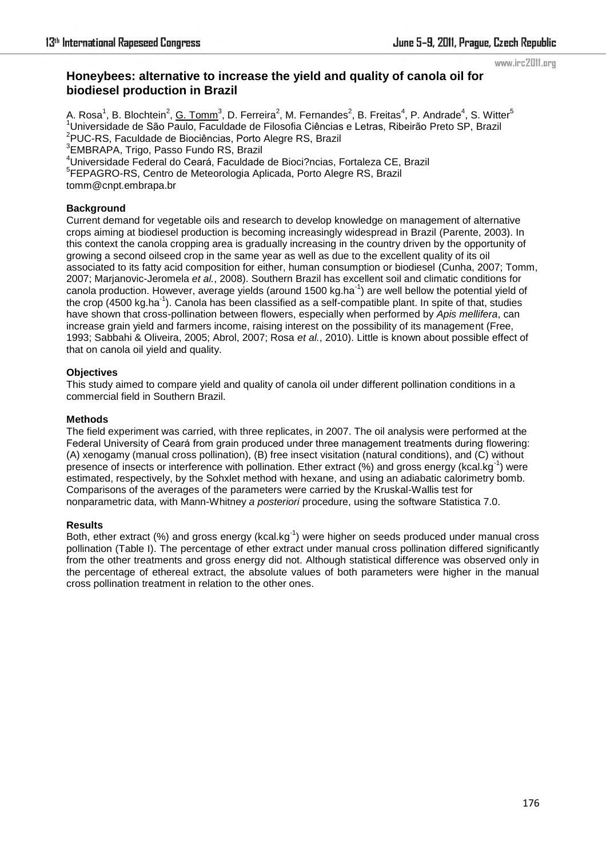#### www.irc2011.org

# **Honeybees: alternative to increase the yield and quality of canola oil for biodiesel production in Brazil**

A. Rosa<sup>1</sup>, B. Blochtein<sup>2</sup>, <u>G. Tomm</u><sup>3</sup>, D. Ferreira<sup>2</sup>, M. Fernandes<sup>2</sup>, B. Freitas<sup>4</sup>, P. Andrade<sup>4</sup>, S. Witter<sup>5</sup> <sup>1</sup>Universidade de São Paulo, Faculdade de Filosofia Ciências e Letras, Ribeirão Preto SP, Brazil <sup>2</sup>PUC-RS, Faculdade de Biociências, Porto Alegre RS, Brazil 3 EMBRAPA, Trigo, Passo Fundo RS, Brazil <sup>4</sup>Universidade Federal do Ceará, Faculdade de Bioci?ncias, Fortaleza CE, Brazil <sup>5</sup>FEPAGRO-RS, Centro de Meteorologia Aplicada, Porto Alegre RS, Brazil

tomm@cnpt.embrapa.br

## **Background**

Current demand for vegetable oils and research to develop knowledge on management of alternative crops aiming at biodiesel production is becoming increasingly widespread in Brazil (Parente, 2003). In this context the canola cropping area is gradually increasing in the country driven by the opportunity of growing a second oilseed crop in the same year as well as due to the excellent quality of its oil associated to its fatty acid composition for either, human consumption or biodiesel (Cunha, 2007; Tomm, 2007; Marjanovic-Jeromela *et al.*, 2008). Southern Brazil has excellent soil and climatic conditions for canola production. However, average yields (around 1500 kg.ha<sup>-1</sup>) are well bellow the potential yield of the crop (4500 kg.ha<sup>-1</sup>). Canola has been classified as a self-compatible plant. In spite of that, studies have shown that cross-pollination between flowers, especially when performed by *Apis mellifera*, can increase grain yield and farmers income, raising interest on the possibility of its management (Free, 1993; Sabbahi & Oliveira, 2005; Abrol, 2007; Rosa *et al.*, 2010). Little is known about possible effect of that on canola oil yield and quality.

## **Objectives**

This study aimed to compare yield and quality of canola oil under different pollination conditions in a commercial field in Southern Brazil.

## **Methods**

The field experiment was carried, with three replicates, in 2007. The oil analysis were performed at the Federal University of Ceará from grain produced under three management treatments during flowering: (A) xenogamy (manual cross pollination), (B) free insect visitation (natural conditions), and (C) without presence of insects or interference with pollination. Ether extract (%) and gross energy (kcal.kg<sup>-1</sup>) were estimated, respectively, by the Sohxlet method with hexane, and using an adiabatic calorimetry bomb. Comparisons of the averages of the parameters were carried by the Kruskal-Wallis test for nonparametric data, with Mann-Whitney *a posteriori* procedure, using the software Statistica 7.0.

#### **Results**

Both, ether extract (%) and gross energy (kcal.kg $^{-1}$ ) were higher on seeds produced under manual cross pollination (Table I). The percentage of ether extract under manual cross pollination differed significantly from the other treatments and gross energy did not. Although statistical difference was observed only in the percentage of ethereal extract, the absolute values of both parameters were higher in the manual cross pollination treatment in relation to the other ones.